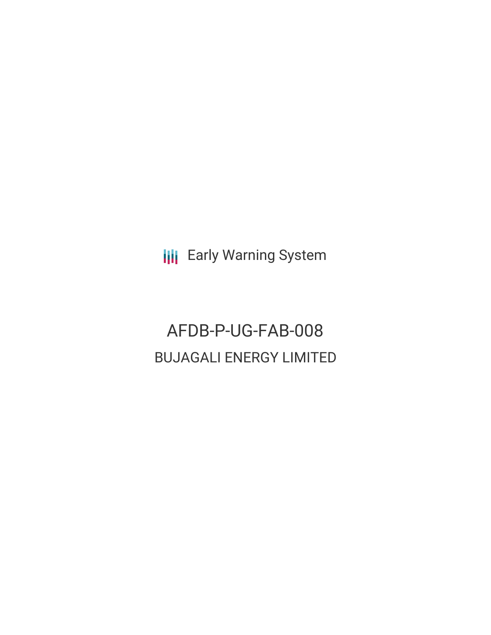**III** Early Warning System

# AFDB-P-UG-FAB-008 BUJAGALI ENERGY LIMITED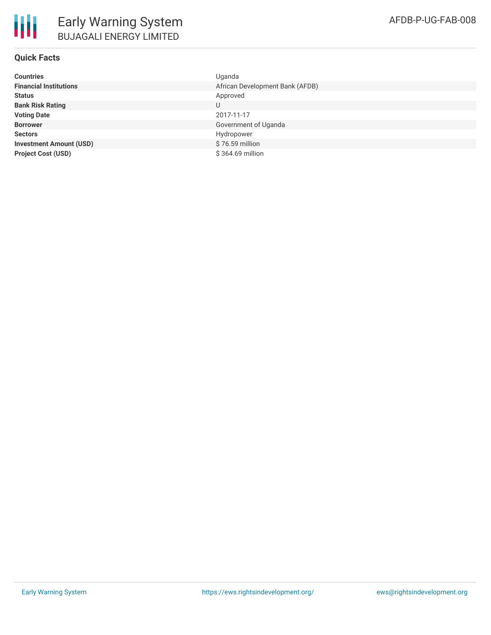**Investment Amount (USD) Project Cost (USD)** 

| <b>Countries</b>               | Uganda                          |
|--------------------------------|---------------------------------|
| <b>Financial Institutions</b>  | African Development Bank (AFDB) |
| Status                         | Approved                        |
| <b>Bank Risk Rating</b>        | U                               |
| <b>Voting Date</b>             | 2017-11-17                      |
| <b>Borrower</b>                | Government of Uganda            |
| Sectors                        | Hydropower                      |
| <b>Investment Amount (USD)</b> | \$76.59 million                 |
| <b>Project Cost (USD)</b>      | \$364.69 million                |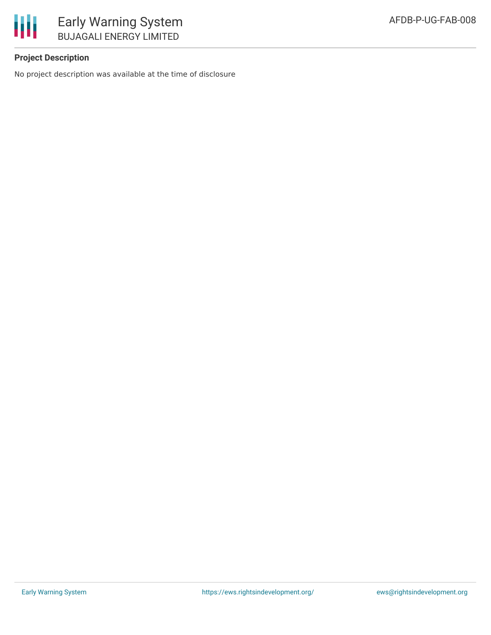

## **Project Description**

No project description was available at the time of disclosure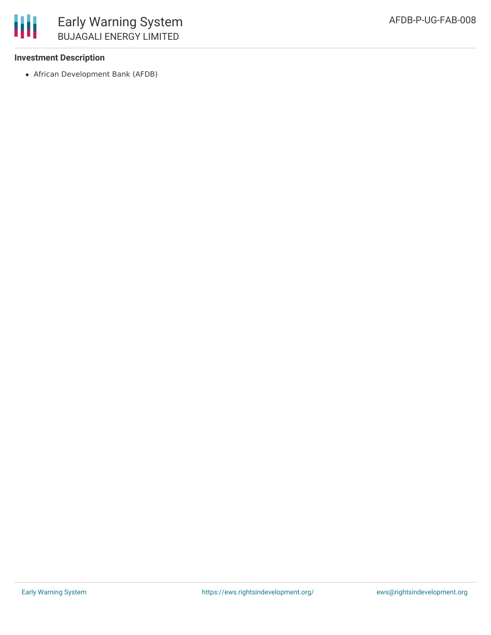

#### **Investment Description**

African Development Bank (AFDB)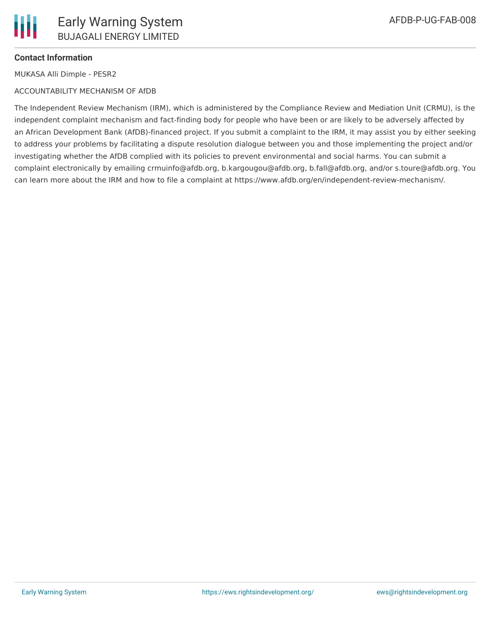

### **Contact Information**

MUKASA Alli Dimple - PESR2

#### ACCOUNTABILITY MECHANISM OF AfDB

The Independent Review Mechanism (IRM), which is administered by the Compliance Review and Mediation Unit (CRMU), is the independent complaint mechanism and fact-finding body for people who have been or are likely to be adversely affected by an African Development Bank (AfDB)-financed project. If you submit a complaint to the IRM, it may assist you by either seeking to address your problems by facilitating a dispute resolution dialogue between you and those implementing the project and/or investigating whether the AfDB complied with its policies to prevent environmental and social harms. You can submit a complaint electronically by emailing crmuinfo@afdb.org, b.kargougou@afdb.org, b.fall@afdb.org, and/or s.toure@afdb.org. You can learn more about the IRM and how to file a complaint at https://www.afdb.org/en/independent-review-mechanism/.